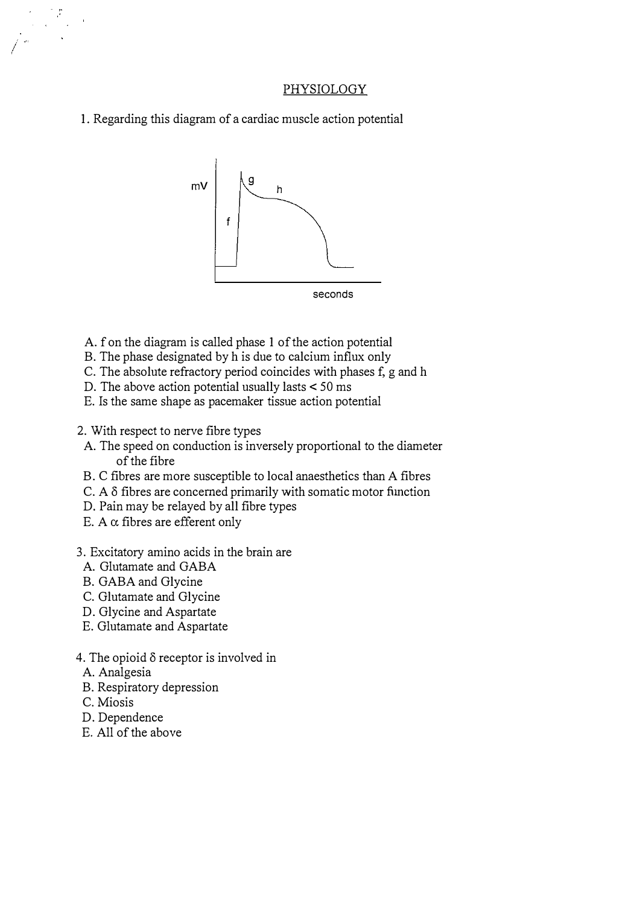#### PHYSIOLOGY

1. Regarding this diagram of a cardiac muscle action potential



- A. f on the diagram is called phase 1 of the action potential
- B. The phase designated by h is due to calcium influx only
- C. The absolute refractory period coincides with phases f, g and h
- D. The above action potential usually lasts < 50 ms
- E. Is the same shape as pacemaker tissue action potential
- 2. With respect to nerve fibre types
	- A. The speed on conduction is inversely proportional to the diameter of the fibre
- B. C fibres are more susceptible to local anaesthetics than A fibres
- C. A  $\delta$  fibres are concerned primarily with somatic motor function
- D. Pain may be relayed by all fibre types
- E. A  $\alpha$  fibres are efferent only
- 3. Excitatory amino acids in the brain are
	- A. Glutamate and GABA
	- B. GABA and Glycine
	- C. Glutamate and Glycine
- D. Glycine and Aspartate
- E. Glutamate and Aspartate
- 4. The opioid  $\delta$  receptor is involved in
- A. Analgesia
- B. Respiratory depression
- C. Miosis

/

 $\frac{1}{2}$  ,  $\frac{1}{2}$  $\hat{\mathcal{A}}$ 

- D. Dependence
- E. All of the above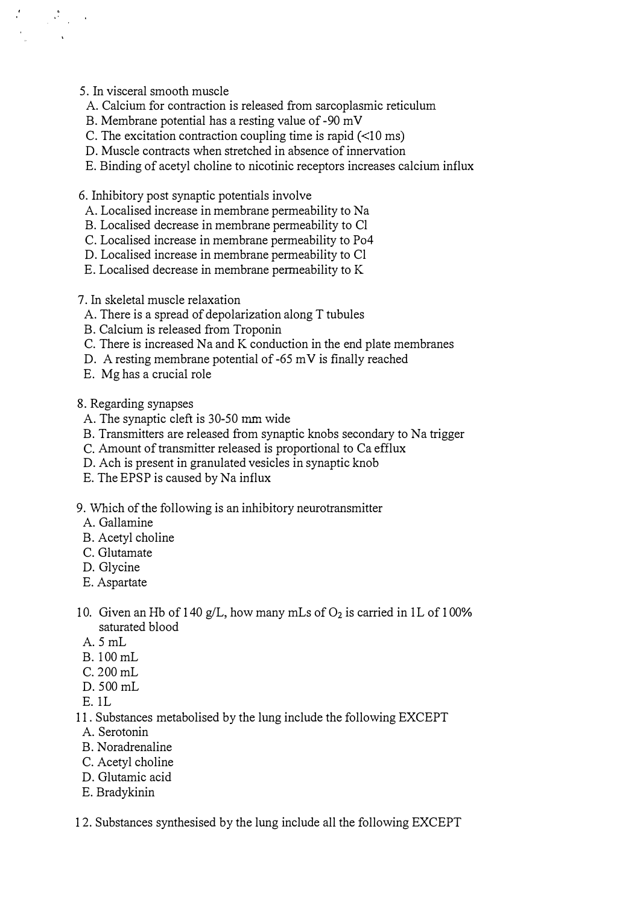5. In visceral smooth muscle

 $\begin{array}{ll} \mathcal{A}_\text{c} & \mathcal{R}_\text{c} \\ \mathcal{A}_\text{c} & \mathcal{A}_\text{c} \\ \mathcal{A}_\text{c} & \mathcal{A}_\text{c} \\ \mathcal{A}_\text{c} & \mathcal{A}_\text{c} \end{array}$ 

- A. Calcium for contraction is released from sarcoplasmic reticulum
- B. Membrane potential has a resting value of -90 m V
- C. The excitation contraction coupling time is rapid  $(\leq 10 \text{ ms})$
- D. Muscle contracts when stretched in absence of innervation
- E. Binding of acetyl choline to nicotinic receptors increases calcium influx

6. Inhibitory post synaptic potentials involve

- A. Localised increase in membrane permeability to Na
- B. Localised decrease in membrane permeability to Cl
- C. Localised increase in membrane permeability to P04
- D. Localised increase in membrane permeability to Cl
- E. Localised decrease in membrane permeability to K
- 7. In skeletal muscle relaxation
- A. There is a spread of depolarization along T tubules
- B. Calcium is released from Troponin
- C. There is increased Na and K conduction in the end plate membranes
- D. A resting membrane potential of -65 mV is finally reached
- E. Mg has a crucial role

8. Regarding synapses

- A. The synaptic cleft is 30-50 mm wide
- B. Transmitters are released from synaptic knobs secondary to Na trigger
- C. Amount of transmitter released is proportional to Ca efflux
- D. Ach is present in granulated vesicles in synaptic knob
- E. The EPSP is caused by Na influx
- 9. Which of the following is an inhibitory neurotransmitter
- A. Gallamine
- B. Acetyl choline
- C. Glutamate
- D. Glycine
- E. Aspartate
- 10. Given an Hb of 140 g/L, how many mLs of  $O_2$  is carried in 1L of 100% saturated blood
- A. 5 mL
- B. I00 mL
- C. 200 mL
- D. 500 mL
- E. IL
- 11. Substances metabolised by the lung include the following EXCEPT
- A. Serotonin
- B. Noradrenaline
- C. Acetyl choline
- D. Glutamic acid
- E. Bradykinin
- 12. Substances synthesised by the lung include all the following EXCEPT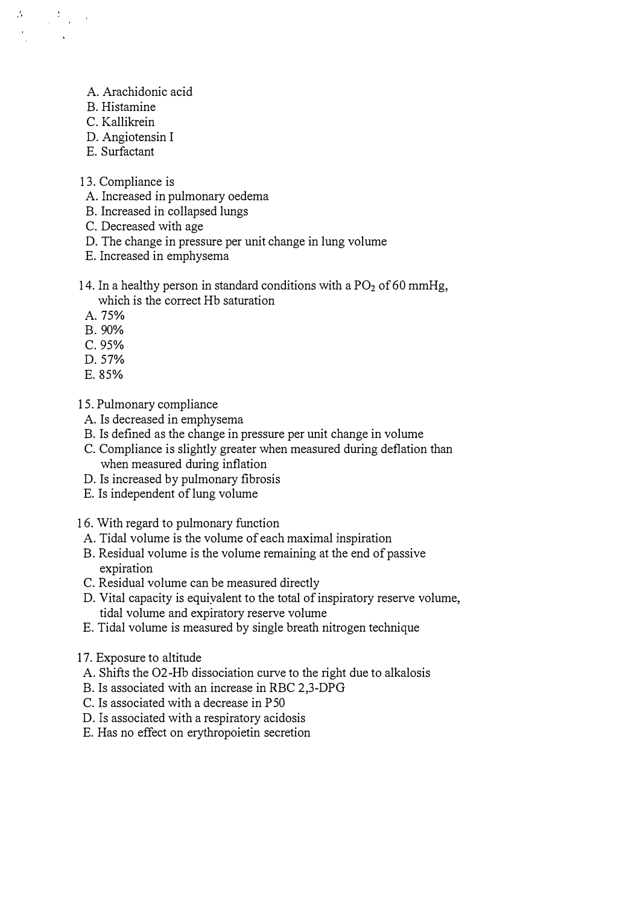- A. Arachidonic acid
- B. Histamine

.'

 $\label{eq:2} \frac{1}{\sqrt{2}}\int_{0}^{\infty}\frac{1}{\sqrt{2}}\left(\frac{1}{\sqrt{2}}\right)^{2}dx\leq 1.$ 

- C. Kallikrein
- D. Angiotensin I
- E. Surfactant
- 13. Compliance is
- A. Increased in pulmonary oedema
- B. Increased in collapsed lungs
- C. Decreased with age
- D. The change in pressure per unit change in lung volume
- E. Increased in emphysema
- 14. In a healthy person in standard conditions with a  $PO<sub>2</sub>$  of 60 mmHg,
	- which is the correct Hb saturation
- A. 75%
- B.90%
- C.95%
- D.57%
- E. 85%

15. Pulmonary compliance

- A. Is decreased in emphysema
- B. Is defined as the change in pressure per unit change in volume
- C. Compliance is slightly greater when measured during deflation than when measured during inflation
- D. Is increased by pulmonary fibrosis
- E. Is independent of lung volume
- 16. With regard to pulmonary function
	- A. Tidal volume is the volume of each maximal inspiration
- B. Residual volume is the volume remaining at the end of passive expiration
- C. Residual volume can be measured directly
- D. Vital capacity is equivalent to the total of inspiratory reserve volume, tidal volume and expiratory reserve volume
- E. Tidal volume is measured by single breath nitrogen technique
- 17. Exposure to altitude
- A. Shifts the 02-Hb dissociation curve to the right due to alkalosis
- B. Is associated with an increase in RBC 2,3-DPG
- C. Is associated with a decrease in P50
- D. Is associated with a respiratory acidosis
- E. Has no effect on erythropoietin secretion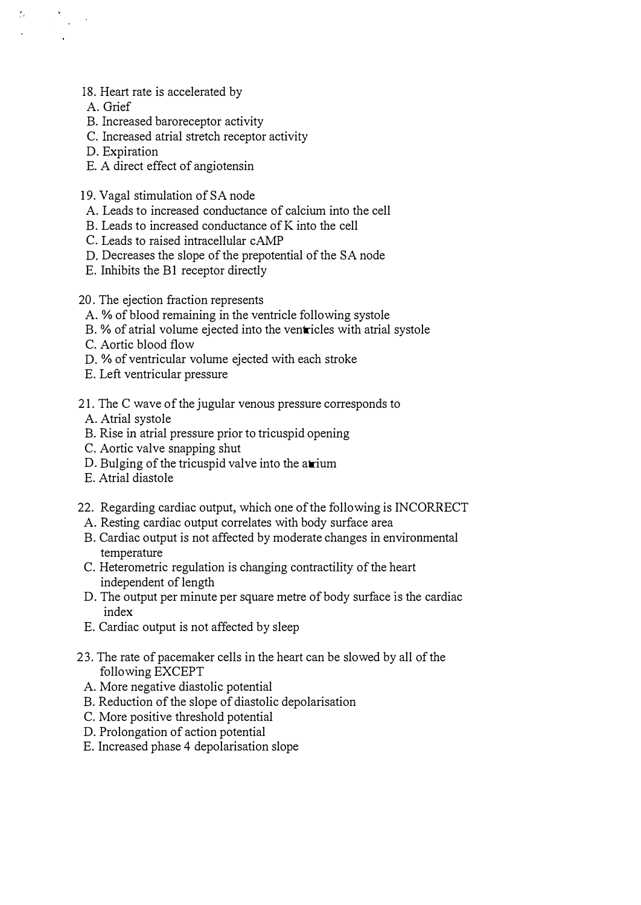- 18. Heart rate is accelerated by
- A. Grief

 $\epsilon_{\rm c}$ 

- B. Increased baroreceptor activity
- C. Increased atrial stretch receptor activity
- D. Expiration
- E. A direct effect of angiotensin
- 19. Vagal stimulation of SA node
- A. Leads to increased conductance of calcium into the cell
- B. Leads to increased conductance of K into the cell
- C. Leads to raised intracellular cAMP
- D. Decreases the slope of the prepotential of the SA node
- E. Inhibits the B1 receptor directly
- 20. The ejection fraction represents
- A. % of blood remaining in the ventricle following systole
- B. % of atrial volume ejected into the ventricles with atrial systole
- C. Aortic blood flow
- D. % of ventricular volume ejected with each stroke
- E. Left ventricular pressure
- 2 1. The C wave of the jugular venous pressure corresponds to
	- A. Atrial systole
- B. Rise in atrial pressure prior to tricuspid opening
- C. Aortic valve snapping shut
- D. Bulging of the tricuspid valve into the atrium
- E. Atrial diastole
- 22. Regarding cardiac output, which one of the following is INCORRECT
- A. Resting cardiac output correlates with body surface area
- B. Cardiac output is not affected by moderate changes in environmental temperature
- C. Heterometric regulation is changing contractility of the heart independent of length
- D. The output per minute per square metre of body surface is the cardiac index
- E. Cardiac output is not affected by sleep
- 23. The rate of pacemaker cells in the heart can be slowed by all of the following EXCEPT
	- A. More negative diastolic potential
	- B. Reduction of the slope of diastolic depolarisation
	- C. More positive threshold potential
	- D. Prolongation of action potential
- E. Increased phase 4 depolarisation slope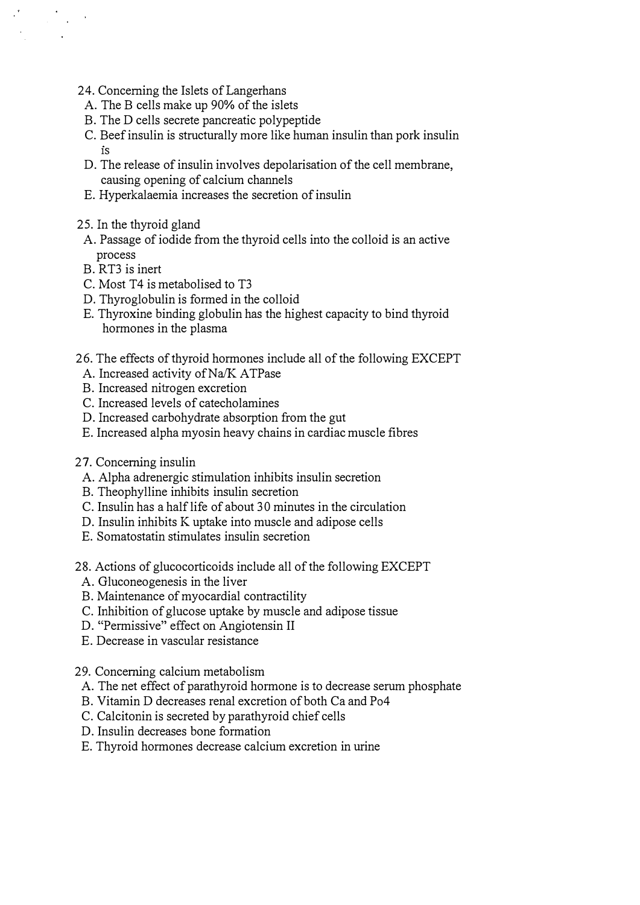- 24. Concerning the Islets of Langerhans
- A. The B cells make up 90% of the islets
- B. The D cells secrete pancreatic polypeptide
- C. Beef insulin is structurally more like human insulin than pork insulin IS
- D. The release of insulin involves depolarisation of the cell membrane, causing opening of calcium channels
- E. Hyperkalaemia increases the secretion of insulin
- 25. In the thyroid gland
- A. Passage of iodide from the thyroid cells into the colloid is an active process
- B. RT3 is inert

 $\label{eq:2} \frac{1}{\sqrt{2}}\sum_{i=1}^n\frac{1}{\sqrt{2}}\sum_{i=1}^n\frac{1}{\sqrt{2}}\sum_{i=1}^n\frac{1}{\sqrt{2}}\sum_{i=1}^n\frac{1}{\sqrt{2}}\sum_{i=1}^n\frac{1}{\sqrt{2}}\sum_{i=1}^n\frac{1}{\sqrt{2}}\sum_{i=1}^n\frac{1}{\sqrt{2}}\sum_{i=1}^n\frac{1}{\sqrt{2}}\sum_{i=1}^n\frac{1}{\sqrt{2}}\sum_{i=1}^n\frac{1}{\sqrt{2}}\sum_{i=1}^n\frac{1$  $\sim$ 

- C. Most T4 is metabolised to T3
- D. Thyroglobulin is formed in the colloid
- E. Thyroxine binding globulin has the highest capacity to bind thyroid hormones in the plasma
- 26. The effects of thyroid hormones include all of the following EXCEPT
	- A. Increased activity of Na/K ATPase
- B. Increased nitrogen excretion
- C. Increased levels of catecholamines
- D. Increased carbohydrate absorption from the gut
- E. Increased alpha myosin heavy chains in cardiac muscle fibres
- 27. Concerning insulin
	- A. Alpha adrenergic stimulation inhibits insulin secretion
	- B. Theophylline inhibits insulin secretion
	- C. Insulin has a half life of about 30 minutes in the circulation
	- D. Insulin inhibits K uptake into muscle and adipose cells
	- E. Somatostatin stimulates insulin secretion
- 28. Actions of glucocorticoids include all of the following EXCEPT
	- A. Gluconeogenesis in the liver
	- B. Maintenance of myocardial contractility
	- C. Inhibition of glucose uptake by muscle and adipose tissue
	- D. "Permissive" effect on Angiotensin II
	- E. Decrease in vascular resistance
- 29. Concerning calcium metabolism
	- A. The net effect of parathyroid hormone is to decrease serum phosphate
	- B. Vitamin D decreases renal excretion of both Ca and P04
	- C. Calcitonin is secreted by parathyroid chief cells
	- D. Insulin decreases bone formation
	- E. Thyroid hormones decrease calcium excretion in urine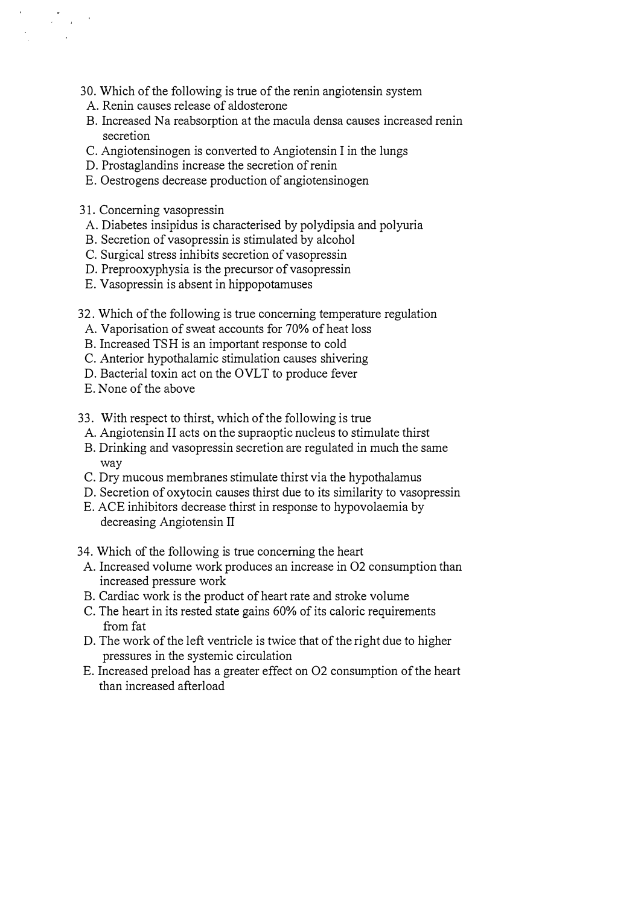- 30. Which of the following is true of the renin angiotensin system
- A. Renin causes release of aldosterone
- B. Increased Na reabsorption at the macula densa causes increased renin secretion
- C. Angiotensinogen is converted to Angiotensin I in the lungs
- D. Prostaglandins increase the secretion of renin
- E. Oestrogens decrease production of angiotensinogen
- 31. Concerning vasopressin

 $\sim 10^{-10}$ 

- A. Diabetes insipidus is characterised by polydipsia and polyuria
- B. Secretion of vasopressin is stimulated by alcohol
- C. Surgical stress inhibits secretion of vasopressin
- D. Preprooxyphysia is the precursor of vasopressin
- E. Vasopressin is absent in hippopotamuses
- 32. Which of the following is true concerning temperature regulation
	- A. Vaporisation of sweat accounts for 70% of heat loss
	- B. Increased TSH is an important response to cold
	- C. Anterior hypothalamic stimulation causes shivering
	- D. Bacterial toxin act on the OVLT to produce fever
	- E. None of the above
- 33. With respect to thirst, which of the following is true
- A. Angiotensin II acts on the supraoptic nucleus to stimulate thirst
- B. Drinking and vasopressin secretion are regulated in much the same way
- C. Dry mucous membranes stimulate thirst via the hypothalamus
- D. Secretion of oxytocin causes thirst due to its similarity to vasopressin
- E. ACE inhibitors decrease thirst in response to hypovolaemia by decreasing Angiotensin II
- 34. Which of the following is true concerning the heart
- A. Increased volume work produces an increase in 02 consumption than increased pressure work
- B. Cardiac work is the product of heart rate and stroke volume
- C. The heart in its rested state gains 60% of its caloric requirements from fat
- D. The work of the left ventricle is twice that of the right due to higher pressures in the systemic circulation
- E. Increased preload has a greater effect on 02 consumption of the heart than increased afterload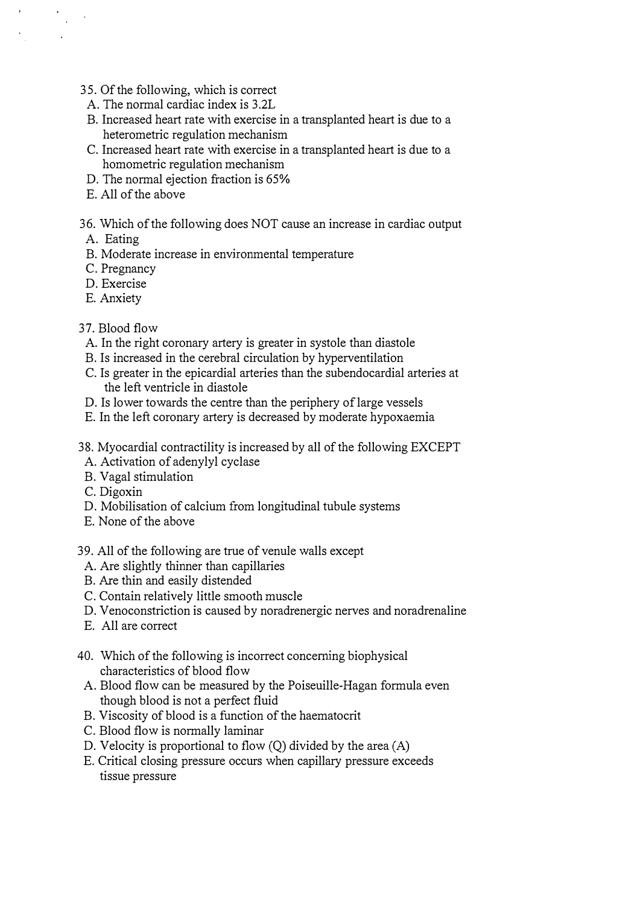- 35. Of the following, which is correct
- A. The normal cardiac index is 3.2L
- B. Increased heart rate with exercise in a transplanted heart is due to a heterometric regulation mechanism
- C. Increased heart rate with exercise in a transplanted heart is due to a homometric regulation mechanism
- D. The normal ejection fraction is 65%
- E. All of the above
- 36. Which of the following does NOT cause an increase in cardiac output
- A. Eating

 $\mathcal{L}_{\text{eff}}$ 

- B. Moderate increase in environmental temperature
- C. Pregnancy
- D. Exercise
- E. Anxiety
- 37. Blood flow
- A. In the right coronary artery is greater in systole than diastole
- B. Is increased in the cerebral circulation by hyperventilation
- C. Is greater in the epicardial arteries than the subendocardial arteries at the left ventricle in diastole
- D. Is lower towards the centre than the periphery of large vessels
- E. In the left coronary artery is decreased by moderate hypoxaemia
- 38. Myocardial contractility is increased by all of the following EXCEPT
- A. Activation of adenylyl cyclase
- B. Vagal stimulation
- C. Digoxin
- D. Mobilisation of calcium from longitudinal tubule systems
- E. None of the above
- 39. All of the following are true of venule walls except
- A. Are slightly thinner than capillaries
- B. Are thin and easily distended
- C. Contain relatively little smooth muscle
- D. Venoconstriction is caused by noradrenergic nerves and noradrenaline
- E. All are correct
- 40. Which of the following is incorrect concerning biophysical characteristics of blood flow
- A. Blood flow can be measured by the Poiseuille-Hagan formula even though blood is not a perfect fluid
- B. Viscosity of blood is a function of the haematocrit
- C. Blood flow is normally laminar
- D. Velocity is proportional to flow (Q) divided by the area (A)
- E. Critical closing pressure occurs when capillary pressure exceeds tissue pressure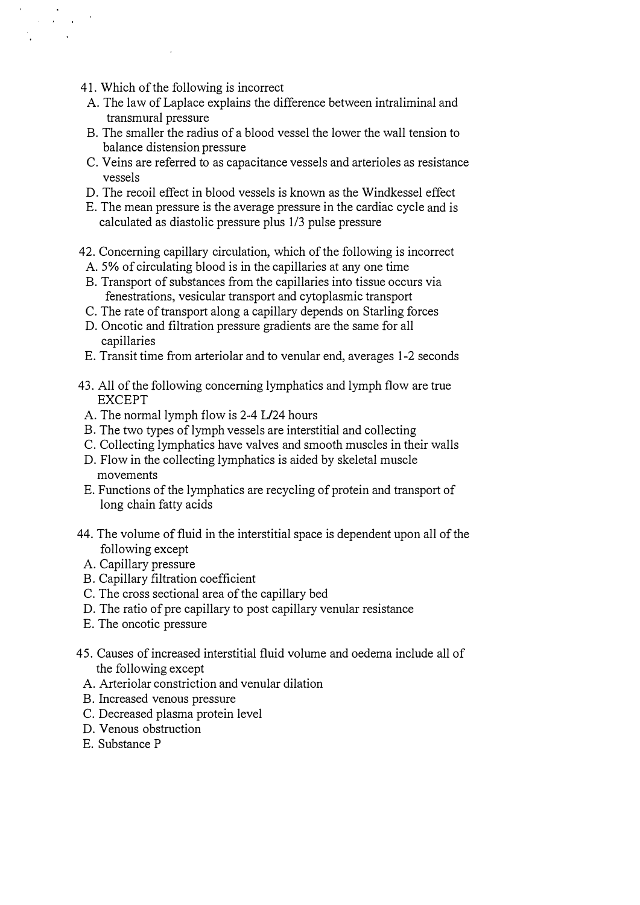4 1. Which of the following is incorrect

 $\sim 10^{11}$  km s  $^{-1}$  km s  $^{-1}$  $\sim 10$ 

- A. The law of Laplace explains the difference between intraliminal and transmural pressure
- B. The smaller the radius of a blood vessel the lower the wall tension to balance distension pressure
- C. Veins are referred to as capacitance vessels and arterioles as resistance vessels
- D. The recoil effect in blood vessels is known as the Windkessel effect
- E. The mean pressure is the average pressure in the cardiac cycle and is calculated as diastolic pressure plus 113 pulse pressure
- 42. Concerning capillary circulation, which of the following is incorrect
- A. 5% of circulating blood is in the capillaries at any one time
- B. Transport of substances from the capillaries into tissue occurs via fenestrations, vesicular transport and cytoplasmic transport
- C. The rate of transport along a capillary depends on Starling forces
- D. Oncotic and filtration pressure gradients are the same for all capillaries
- E. Transit time from arteriolar and to venular end, averages 1-2 seconds
- 43. All of the following concerning lymphatics and lymph flow are true EXCEPT
	- A. The normal lymph flow is 2-4 L/24 hours
- B. The two types of lymph vessels are interstitial and collecting
- C. Collecting lymphatics have valves and smooth muscles in their walls
- D. Flow in the collecting lymphatics is aided by skeletal muscle movements
- E. Functions of the lymphatics are recycling of protein and transport of long chain fatty acids
- 44. The volume of fluid in the interstitial space is dependent upon all of the following except
- A. Capillary pressure
- B. Capillary filtration coefficient
- C. The cross sectional area of the capillary bed
- D. The ratio of pre capillary to post capillary venular resistance
- E. The oncotic pressure
- 45. Causes of increased interstitial fluid volume and oedema include all of the following except
	- A. Arteriolar constriction and venular dilation
	- B. Increased venous pressure
	- C. Decreased plasma protein level
	- D. Venous obstruction
	- E. Substance P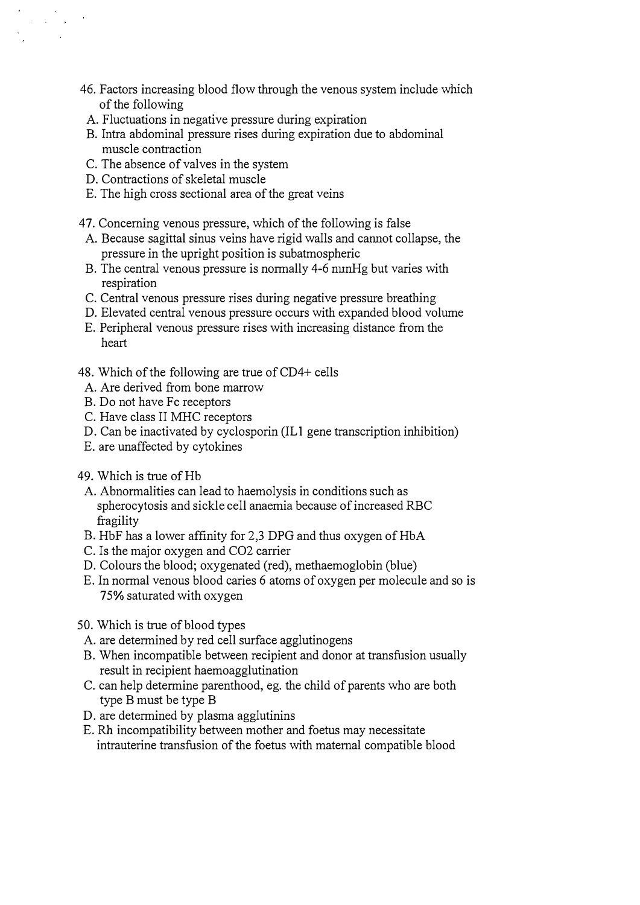- 46. Factors increasing blood flow through the venous system include which of the following
- A. Fluctuations in negative pressure during expiration
- B. Intra abdominal pressure rises during expiration due to abdominal muscle contraction
- C. The absence of valves in the system
- D. Contractions of skeletal muscle

 $\mathcal{A}=\mathcal{A}=\mathcal{A}=\mathcal{A}$ 

- E. The high cross sectional area of the great veins
- 47. Conceming venous pressure, which of the following is false
- A. Because sagittal sinus veins have rigid walls and carmot collapse, the pressure in the upright position is subatmospheric
- B. The central venous pressure is normally 4-6 nunHg but varies with respiration
- C. Central venous pressure rises during negative pressure breathing
- D. Elevated central venous pressure occurs with expanded blood volume
- E. Peripheral venous pressure rises with increasing distance from the heart
- 48. Which of the following are true of CD4+ cells
	- A. Are derived from bone marrow
- B. Do not have Fc receptors
- C. Have class II MHC receptors
- D. Can be inactivated by cyclosporin (ILl gene transcription inhibition)
- E. are unaffected by cytokines
- 49. Which is true of Hb
	- A. Abnormalities can lead to haemolysis in conditions such as spherocytosis and sickle cell anaemia because of increased RBC fragility
	- B. HbF has a lower affinity for 2,3 DPG and thus oxygen of HbA
	- C. Is the major oxygen and C02 carrier
	- D. Colours the blood; oxygenated (red), methaemoglobin (blue)
	- E. In normal venous blood caries 6 atoms of oxygen per molecule and so is 75% saturated with oxygen
- 50. Which is true of blood types
	- A. are determined by red cell surface agglutinogens
	- B. When incompatible between recipient and donor at transfusion usually result in recipient haemoagglutination
	- C. can help determine parenthood, eg. the child of parents who are both type B must be type B
	- D. are determined by plasma agglutinins
	- E. Rh incompatibility between mother and foetus may necessitate intrauterine transfusion of the foetus with maternal compatible blood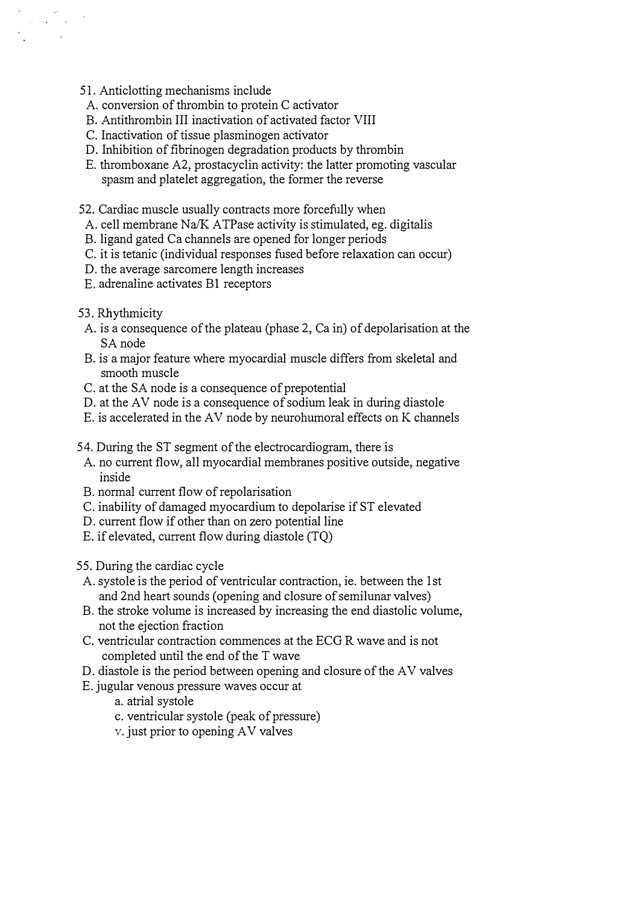- 51. Anticlotting mechanisms include
- A. conversion of thrombin to protein C activator
- B. Antithrombin III inactivation of activated factor VIII
- C. Inactivation of tissue plasminogen activator
- D. Inhibition of fibrinogen degradation products by thrombin
- E. thromboxane A2, prostacyclin activity: the latter promoting vascular spasm and platelet aggregation, the former the reverse
- 52. Cardiac muscle usually contracts more forcefully when
- A. cell membrane  $Na/K$  ATPase activity is stimulated, eg. digitalis
- B. ligand gated Ca channels are opened for longer periods
- C. it is tetanic (individual responses fused before relaxation can occur)
- D. the average sarcomere length increases
- E. adrenaline activates B1 receptors
- 53. Rhythmicity

 $\label{eq:2.1} \frac{\partial}{\partial t} = \frac{\partial}{\partial t} \frac{\partial}{\partial t} = 0$ 

- A. is a consequence of the plateau (phase 2, Ca in) of depolarisation at the SA node
- B. is a major feature where myocardial muscle differs from skeletal and smooth muscle
- C. at the SA node is a consequence of prepotential
- D. at the AV node is a consequence of sodium leak in during diastole
- E. is accelerated in the AV node by neurohumoral effects on K channels
- 54. During the ST segment of the electrocardiogram, there is
	- A. no current flow, all myocardial membranes positive outside, negative inside
- B. normal current flow of repolarisation
- C. inability of damaged myocardium to depolarise if ST elevated
- D. current flow if other than on zero potential line
- E. if elevated, current flow during diastole (TQ)
- 55. During the cardiac cycle
- A. systole is the period of ventricular contraction, ie. between the 1 st and 2nd heart sounds (opening and closure of semilunar valves)
- B. the stroke volume is increased by increasing the end diastolic volume, not the ejection fraction
- C. ventricular contraction commences at the ECG R wave and is not completed until the end of the T wave
- D. diastole is the period between opening and closure of the A V valves
- E. jugular venous pressure waves occur at
	- a. atrial systole
	- C. ventricular systole (peak of pressure)
	- v. just prior to opening AV valves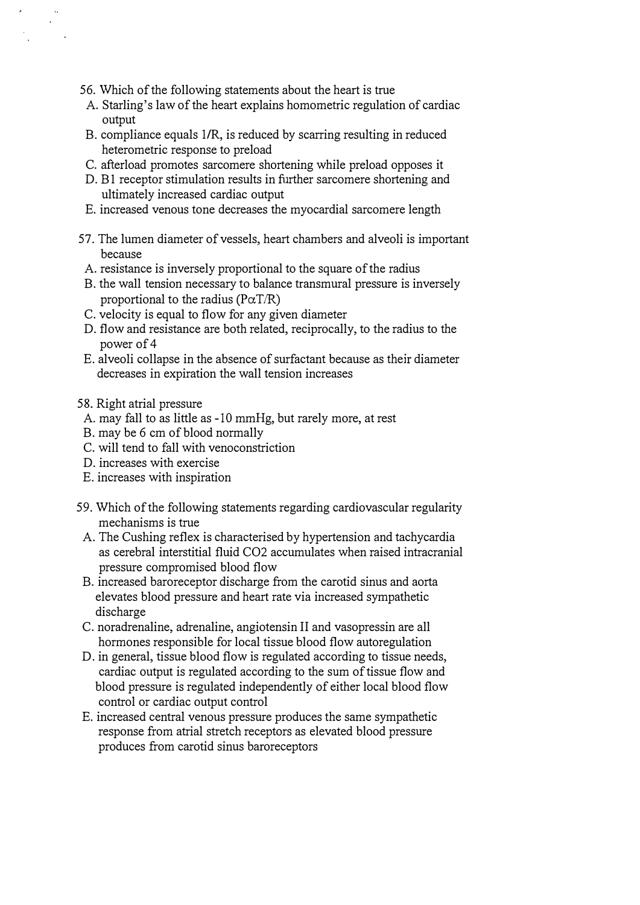- 56. Which of the following statements about the heart is true
- A. Starling's law of the heart explains homometric regulation of cardiac output
- B. compliance equals I/R, is reduced by scarring resulting in reduced heterometric response to preload
- C. afterload promotes sarcomere shortening while preload opposes it
- D. B1 receptor stimulation results in further sarcomere shortening and ultimately increased cardiac output
- E. increased venous tone decreases the myocardial sarcomere length
- 57. The lumen diameter of vessels, heart chambers and alveoli is important because
- A. resistance is inversely proportional to the square of the radius
- B. the wall tension necessary to balance transmural pressure is inversely proportional to the radius ( $P\alpha T/R$ )
- C. velocity is equal to flow for any given diameter
- D. flow and resistance are both related, reciprocally, to the radius to the power of 4
- E. alveoli collapse in the absence of surfactant because as their diameter decreases in expiration the wall tension increases
- 58. Right atrial pressure
	- A. may fall to as little as 10 mmHg, but rarely more, at rest
- B. may be 6 em of blood normally
- C. will tend to fall with venoconstriction
- D. increases with exercise
- E. increases with inspiration
- 59. Which of the following statements regarding cardiovascular regularity mechanisms is true
- A. The Cushing reflex is characterised by hypertension and tachycardia as cerebral interstitial fluid C02 accumulates when raised intracranial pressure compromised blood flow
- B. increased baroreceptor discharge from the carotid sinus and aorta elevates blood pressure and heart rate via increased sympathetic discharge
- C. noradrenaline, adrenaline, angiotensin II and vasopressin are all hormones responsible for local tissue blood flow autoregulation
- D. in general, tissue blood flow is regulated according to tissue needs, cardiac output is regulated according to the sum of tissue flow and blood pressure is regulated independently of either local blood flow control or cardiac output control
- E. increased central venous pressure produces the same sympathetic response from atrial stretch receptors as elevated blood pressure produces from carotid sinus baroreceptors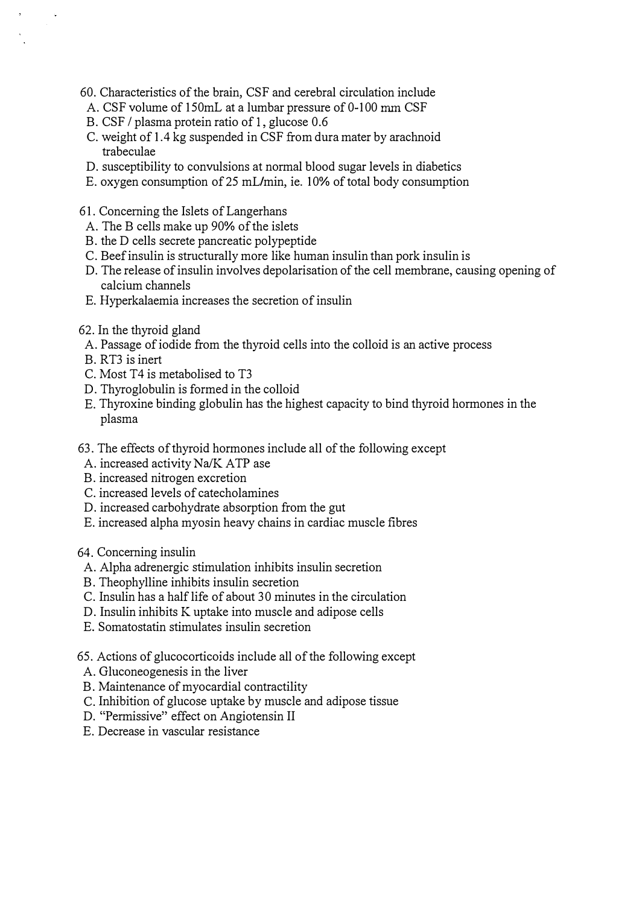- 60. Characteristics of the brain, CSF and cerebral circulation include
- A. CSF volume of 150mL at a lumbar pressure of 0-100 mm CSF
- B. CSF / plasma protein ratio of 1, glucose 0.6
- C. weight of 1.4 kg suspended in CSF from dura mater by arachnoid trabeculae
- D. susceptibility to convulsions at normal blood sugar levels in diabetics
- E. oxygen consumption of 25 mUmin, ie. 10% of total body consumption
- 61. Concerning the Islets of Langerhans
- A. The B cells make up 90% of the islets
- B. the D cells secrete pancreatic polypeptide
- C. Beef insulin is structurally more like human insulin than pork insulin is
- D. The release of insulin involves depolarisation of the cell membrane, causing opening of calcium channels
- E. Hyperkalaemia increases the secretion of insulin
- 62. In the thyroid gland
	- A. Passage of iodide from the thyroid cells into the colloid is an active process
	- B. RT3 is inert
	- C. Most T4 is metabolised to T3
- D. Thyroglobulin is formed in the colloid
- E. Thyroxine binding globulin has the highest capacity to bind thyroid hormones in the plasma
- 63. The effects of thyroid hormones include all of the following except
- A. increased activity Na/K ATP ase
- B. increased nitrogen excretion
- C. increased levels of catecholamines
- D. increased carbohydrate absorption from the gut
- E. increased alpha myosin heavy chains in cardiac muscle fibres

64. Concerning insulin

- A. Alpha adrenergic stimulation inhibits insulin secretion
- B. Theophylline inhibits insulin secretion
- C. Insulin has a half life of about 30 minutes in the circulation
- D. Insulin inhibits K uptake into muscle and adipose cells
- E. Somatostatin stimulates insulin secretion
- 65. Actions of glucocorticoids include all of the following except
- A. Gluconeogenesis in the liver
- B. Maintenance of myocardial contractility
- C. Inhibition of glucose uptake by muscle and adipose tissue
- D. "Permissive" effect on Angiotensin II
- E. Decrease in vascular resistance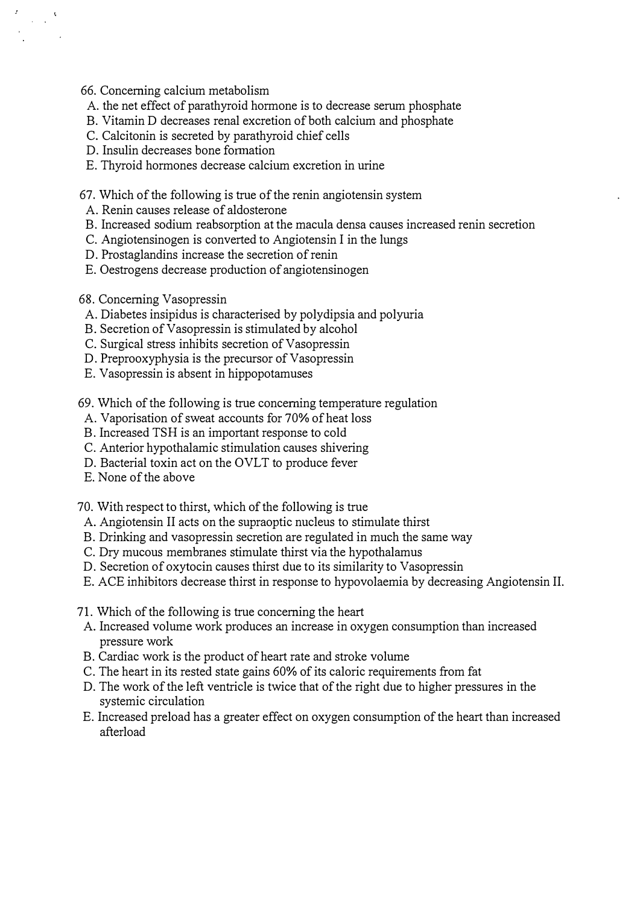66. Concerning calcium metabolism

 $\frac{1}{\sqrt{2}}\frac{1}{\sqrt{2}}$ 

- A. the net effect of parathyroid hormone is to decrease serum phosphate
- B. Vitamin D decreases renal excretion of both calcium and phosphate
- C. Calcitonin is secreted by parathyroid chief cells
- D. Insulin decreases bone formation
- E. Thyroid hormones decrease calcium excretion in urine
- 67. Which of the following is true of the renin angiotensin system
- A. Renin causes release of aldosterone
- B. Increased sodium reabsorption at the macula densa causes increased renin secretion
- C. Angiotensinogen is converted to Angiotensin I in the lungs
- D. Prostaglandins increase the secretion of renin
- E. Oestrogens decrease production of angiotensinogen
- 68. Concerning Vasopressin
- A. Diabetes insipidus is characterised by polydipsia and polyuria
- B. Secretion of Vasopressin is stimulated by alcohol
- C. Surgical stress inhibits secretion of Vasopressin
- D. Preprooxyphysia is the precursor of Vasopressin
- E. Vasopressin is absent in hippopotamuses
- 69. Which of the following is true concerning temperature regulation
- A. Vaporisation of sweat accounts for 70% of heat loss
- B. Increased TSH is an important response to cold
- C. Anterior hypothalamic stimulation causes shivering
- D. Bacterial toxin act on the OVLT to produce fever
- E. None of the above
- 70. With respect to thirst, which of the following is true
- A. Angiotensin II acts on the supraoptic nucleus to stimulate thirst
- B. Drinking and vasopressin secretion are regulated in much the same way
- C. Dry mucous membranes stimulate thirst via the hypothalamus
- D. Secretion of oxytocin causes thirst due to its similarity to Vasopressin
- E. ACE inhibitors decrease thirst in response to hypovolaemia by decreasing Angiotensin II.
- 71. Which of the following is true concerning the heart
- A. Increased volume work produces an increase in oxygen consumption than increased pressure work
- B. Cardiac work is the product of heart rate and stroke volume
- C. The heart in its rested state gains 60% of its caloric requirements from fat
- D. The work of the left ventricle is twice that of the right due to higher pressures in the systemic circulation
- E. Increased preload has a greater effect on oxygen consumption of the heart than increased afterload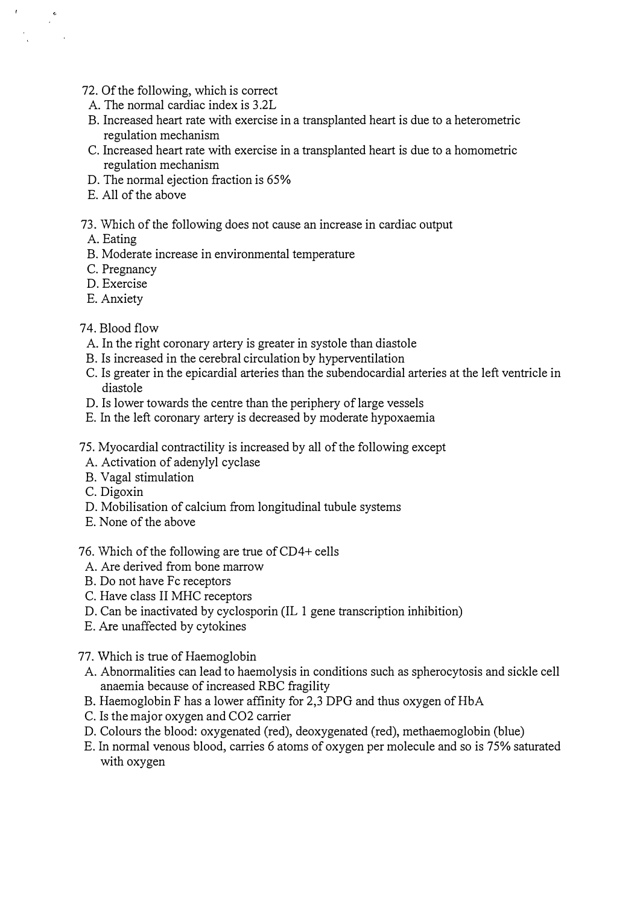- 72. Of the following, which is correct
- A. The normal cardiac index is 3.2L
- B. Increased heart rate with exercise in a transplanted heart is due to a heterometric regulation mechanism
- C. Increased heart rate with exercise in a transplanted heart is due to a homometric regulation mechanism
- D. The normal ejection fraction is 65%
- E. All of the above
- 73. Which of the following does not cause an increase in cardiac output
- A. Eating

 $\frac{1}{2}$  ,  $\frac{1}{2}$ 

- B. Moderate increase in environmental temperature
- C. Pregnancy
- D. Exercise
- E. Anxiety
- 74. Blood flow
	- A. In the right coronary artery is greater in systole than diastole
	- B. Is increased in the cerebral circulation by hyperventilation
	- C. Is greater in the epicardial arteries than the subendocardial arteries at the left ventricle in diastole
- D. Is lower towards the centre than the periphery of large vessels
- E. In the left coronary artery is decreased by moderate hypoxaemia
- 75. Myocardial contractility is increased by all of the following except
- A. Activation of adenylyl cyclase
- B. Vagal stimulation
- C. Digoxin
- D. Mobilisation of calcium from longitudinal tubule systems
- E. None of the above
- 76. Which of the following are true of CD4+ cells
- A. Are derived from bone marrow
- B. Do not have Fc receptors
- C. Have class II MHC receptors
- D. Can be inactivated by cyclosporin (IL 1 gene transcription inhibition)
- E. Are unaffected by cytokines
- 77. Which is true of Haemoglobin
- A. Abnormalities can lead to haemolysis in conditions such as spherocytosis and sickle cell anaemia because of increased RBC fragility
- B. Haemoglobin F has a lower affinity for 2,3 DPG and thus oxygen of HbA
- C. Is the major oxygen and C02 carrier
- D. Colours the blood: oxygenated (red), deoxygenated (red), methaemoglobin (blue)
- E. In normal venous blood, carries 6 atoms of oxygen per molecule and so is 75% saturated with oxygen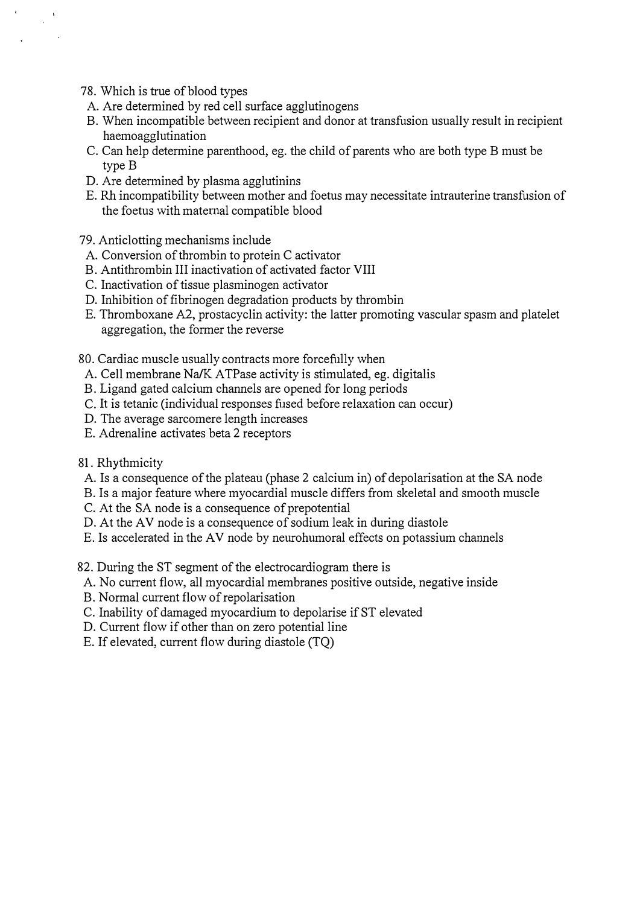78. Which is true of blood types

 $\frac{1}{\sqrt{2}}$ 

- A. Are determined by red cell surface agglutinogens
- B. When incompatible between recipient and donor at transfusion usually result in recipient haemoagglutination
- C. Can help determine parenthood, eg. the child of parents who are both type B must be type B
- D. Are determined by plasma agglutinins
- E. Rh incompatibility between mother and foetus may necessitate intrauterine transfusion of the foetus with maternal compatible blood
- 79. Anticlotting mechanisms include
- A. Conversion of thrombin to protein C activator
- B. Antithrombin III inactivation of activated factor VIII
- C. Inactivation of tissue plasminogen activator
- D. Inhibition of fibrinogen degradation products by thrombin
- E. Thromboxane A2, prostacyclin activity: the latter promoting vascular spasm and platelet aggregation, the former the reverse
- 80. Cardiac muscle usually contracts more forcefully when
- A. Cell membrane Na/K ATPase activity is stimulated, eg. digitalis
- B. Ligand gated calcium channels are opened for long periods
- C. It is tetanic (individual responses fused before relaxation can occur)
- D. The average sarcomere length increases
- E. Adrenaline activates beta 2 receptors
- 81. Rhythmicity
- A. Is a consequence of the plateau (phase 2 calcium in) of depolarisation at the SA node
- B. Is a major feature where myocardial muscle differs from skeletal and smooth muscle
- C. At the SA node is a consequence of prepotential
- D. At the AV node is a consequence of sodium leak in during diastole
- E. Is accelerated in the AV node by neurohumoral effects on potassium channels
- 82. During the ST segment of the electrocardiogram there is
	- A. No current flow, all myocardial membranes positive outside, negative inside
	- B. Normal current flow of repolarisation
	- C. Inability of damaged myocardium to depolarise if ST elevated
	- D. Current flow if other than on zero potential line
	- E. If elevated, current flow during diastole (TQ)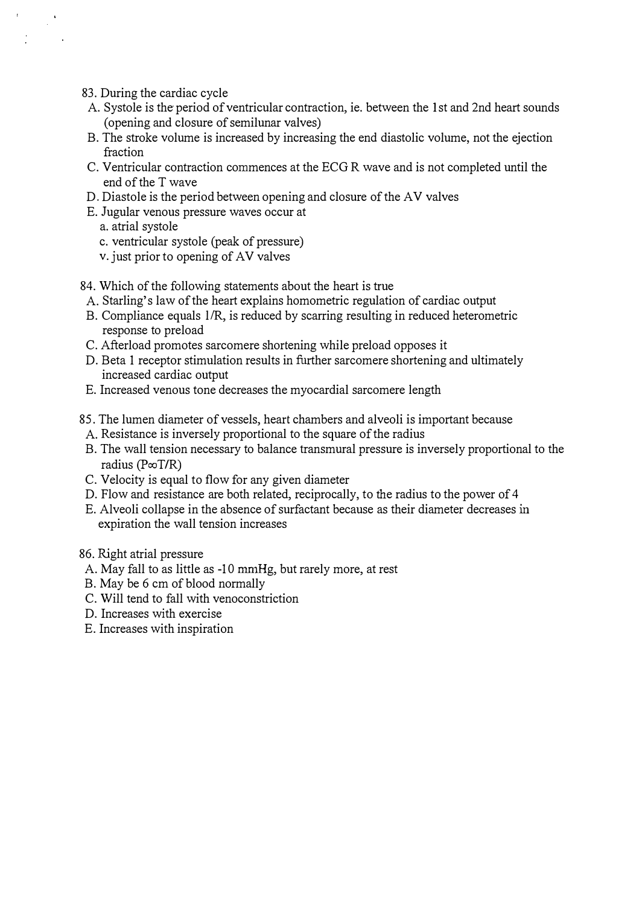- 83. During the cardiac cycle
- A. Systole is the period of ventricular contraction, ie. between the 1st and 2nd heart sounds (opening and closure of semilunar valves)
- B. The stroke volume is increased by increasing the end diastolic volume, not the ejection fraction
- C. Ventricular contraction commences at the ECG R wave and is not completed until the end of the T wave
- D. Diastole is the period between opening and closure of the AV valves
- E. Jugular venous pressure waves occur at
	- a. atrial systole
	- c. ventricular systole (peak of pressure)
	- v. just prior to opening of AV valves
- 84. Which of the following statements about the heart is true
- A. Starling's law of the heart explains homometric regulation of cardiac output
- B. Compliance equals 1/R, is reduced by scarring resulting in reduced heterometric response to preload
- C. Afterload promotes sarcomere shortening while preload opposes it
- D. Beta 1 receptor stimulation results in further sarcomere shortening and ultimately increased cardiac output
- E. Increased venous tone decreases the myocardial sarcomere length
- 85. The lumen diameter of vessels, heart chambers and alveoli is important because
- A. Resistance is inversely proportional to the square of the radius
- B. The wall tension necessary to balance transmural pressure is inversely proportional to the radius ( $P\in\mathcal{T}/R$ )
- C. Velocity is equal to flow for any given diameter
- D. Flow and resistance are both related, reciprocally, to the radius to the power of 4
- E. Alveoli collapse in the absence of surfactant because as their diameter decreases in expiration the wall tension increases

#### 86. Right atrial pressure

- A. May fall to as little as -10 mmHg, but rarely more, at rest
- B. May be 6 cm of blood normally
- C. Will tend to fall with venoconstriction
- D. Increases with exercise
- E. Increases with inspiration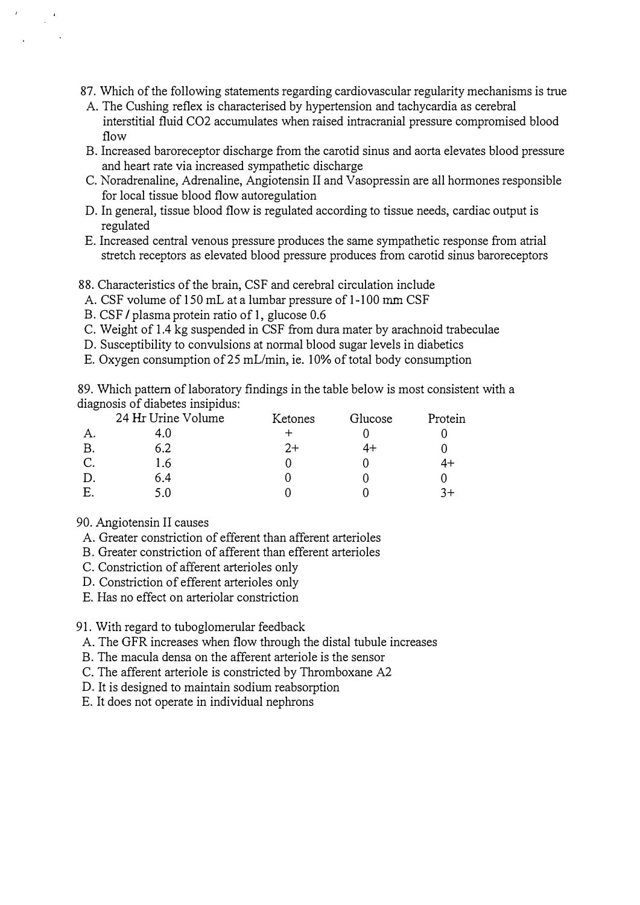87. Which of the following statements regarding cardiovascular regularity mechanisms is true

- A. The Cushing reflex is characterised by hypertension and tachycardia as cerebral interstitial fluid C02 accumulates when raised intracranial pressure compromised blood flow
- B. Increased baroreceptor discharge from the carotid sinus and aorta elevates blood pressure and heart rate via increased sympathetic discharge
- C. Noradrenaline, Adrenaline, Angiotensin II and Vasopressin are all hormones responsible for local tissue blood flow autoregulation
- D. In general, tissue blood flow is regulated according to tissue needs, cardiac output is regulated
- E. Increased central venous pressure produces the same sympathetic response from atrial stretch receptors as elevated blood pressure produces from carotid sinus baroreceptors

88. Characteristics of the brain, CSF and cerebral circulation include

- A. CSF volume of 150 mL at a lumbar pressure of 1-100 mm CSF
- B. CSF / plasma protein ratio of 1, glucose 0.6
- C. Weight of 1.4 kg suspended in CSF from dura mater by arachnoid trabeculae
- D. Susceptibility to convulsions at normal blood sugar levels in diabetics
- E. Oxygen consumption of 25 mL/min, ie. 10% of total body consumption

89. Which pattern of laboratory findings in the table below is most consistent with a diagnosis of diabetes insipidus:

|    | 24 Hr Urine Volume | Ketones | Glucose | Protein |
|----|--------------------|---------|---------|---------|
| A. |                    |         |         |         |
| В. | 6.2                | $2+$    |         |         |
| C. | 1.6                |         |         |         |
|    | 6.4                |         |         |         |
| Е. | 5 O                |         |         |         |

#### 90. Angiotensin II causes

- A. Greater constriction of efferent than afferent arterioles
- B. Greater constriction of afferent than efferent arterioles
- C. Constriction of afferent arterioles only
- D. Constriction of efferent arterioles only
- E. Has no effect on arteriolar constriction

91. With regard to tuboglomerular feedback

A. The GFR increases when flow through the distal tubule increases

B. The macula densa on the afferent arteriole is the sensor

- C. The afferent arteriole is constricted by Thromboxane A2
- D. It is designed to maintain sodium reabsorption
- E. It does not operate in individual nephrons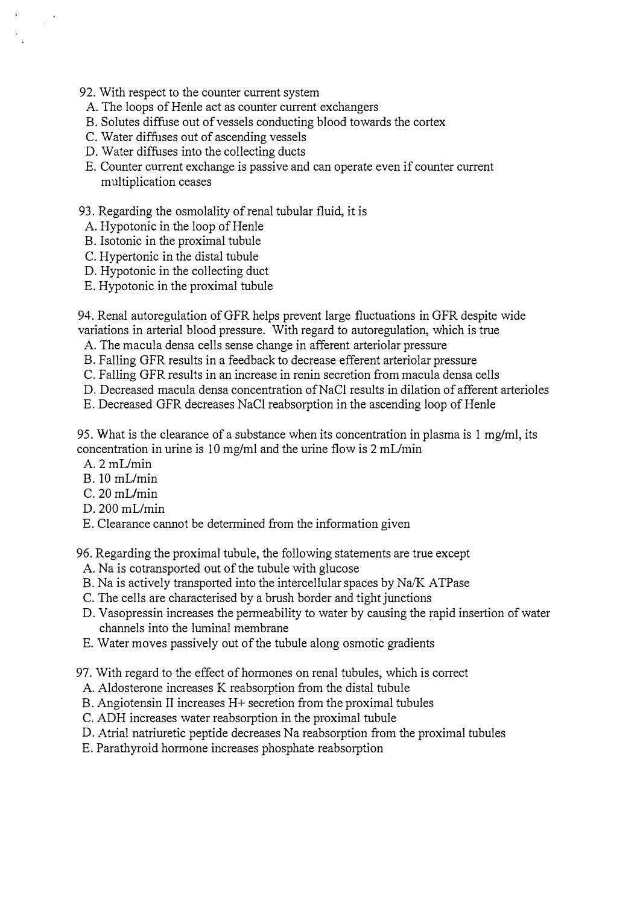- 92. With respect to the counter current system
- A. The loops of Henle act as counter current exchangers
- B. Solutes diffuse out of vessels conducting blood towards the cortex
- C. Water diffuses out of ascending vessels
- D. Water diffuses into the collecting ducts
- E. Counter current exchange is passive and can operate even if counter current mUltiplication ceases

#### 93. Regarding the osmolality of renal tubular fluid, it is

- A. Hypotonic in the loop of Henle
- B. Isotonic in the proximal tubule
- C. Hypertonic in the distal tubule
- D. Hypotonic in the collecting duct
- E. Hypotonic in the proximal tubule

94. Renal autoregulation of GFR helps prevent large fluctuations in GFR despite wide variations in arterial blood pressure. With regard to autoregulation, which is true

- A. The macula densa cells sense change in afferent arteriolar pressure
- B. Falling GFR results in a feedback to decrease efferent arteriolar pressure
- C. Falling GFR results in an increase in renin secretion from macula densa cells
- D. Decreased macula densa concentration of NaCl results in dilation of afferent arterioles
- E. Decreased GFR decreases NaCI reabsorption in the ascending loop of Henle

95. What is the clearance of a substance when its concentration in plasma is 1 mg/ml, its concentration in urine is 10 mg/ml and the urine flow is  $2 \text{ mL/min}$ 

 $A. 2 mL/min$ 

 $\sim$ 

- $B. 10$  mL/min
- $C.20$  mL/min
- $D. 200$  mL/min
- E. Clearance cannot be determined from the information given

96. Regarding the proximal tubule, the following statements are true except

- A. Na is cotransported out of the tubule with glucose
- B. Na is actively transported into the intercellular spaces by Na/K ATPase
- C. The cells are characterised by a brush border and tight junctions
- D. Vasopressin increases the permeability to water by causing the rapid insertion of water channels into the luminal membrane
- E. Water moves passively out of the tubule along osmotic gradients
- 97. With regard to the effect of hormones on renal tubules, which is correct
- A. Aldosterone increases K reabsorption from the distal tubule
- B. Angiotensin II increases H+ secretion from the proximal tubules
- C. ADH increases water reabsorption in the proximal tubule
- D. Atrial natriuretic peptide decreases Na reabsorption from the proximal tubules
- E. Parathyroid hormone increases phosphate reabsorption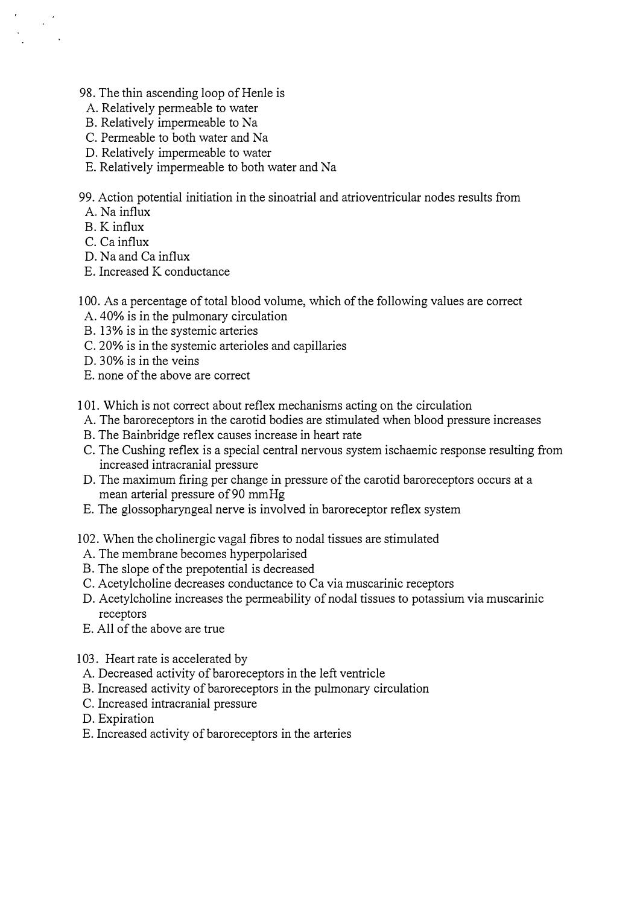- 98. The thin ascending loop of Henle is
- A. Relatively permeable to water
- B. Relatively impermeable to Na
- C. Permeable to both water and Na
- D. Relatively impermeable to water
- E. Relatively impermeable to both water and Na

99. Action potential initiation in the sinoatrial and atrioventricular nodes results from

A. Na influx

 $\frac{1}{\sqrt{2}}$ 

- B. K influx
- C. Ca influx
- D. Na and Ca influx
- E. Increased K conductance
- 100. As a percentage of total blood volume, which of the following values are correct
- A. 40% is in the pulmonary circulation
- B. 13% is in the systemic arteries
- C. 20% is in the systemic arterioles and capillaries
- D. 30% is in the veins
- E. none of the above are correct
- 101. Which is not correct about reflex mechanisms acting on the circulation
	- A. The baroreceptors in the carotid bodies are stimulated when blood pressure increases
	- B. The Bainbridge reflex causes increase in heart rate
	- C. The Cushing reflex is a special central nervous system ischaemic response resulting from increased intracranial pressure
- D. The maximum firing per change in pressure of the carotid baroreceptors occurs at a mean arterial pressure of 90 mmHg
- E. The glossopharyngeal nerve is involved in baroreceptor reflex system
- 102. When the cholinergic vagal fibres to nodal tissues are stimulated
- A. The membrane becomes hyperpolarised
- B. The slope of the prepotential is decreased
- C. Acetylcholine decreases conductance to Ca via muscarinic receptors
- D. Acetylcholine increases the permeability of nodal tissues to potassium via muscarinic receptors
- E. All of the above are true
- 103. Heart rate is accelerated by
- A. Decreased activity of baroreceptors in the left ventricle
- B. Increased activity of baroreceptors in the pulmonary circulation
- C. Increased intracranial pressure
- D. Expiration
- E. Increased activity of baroreceptors in the arteries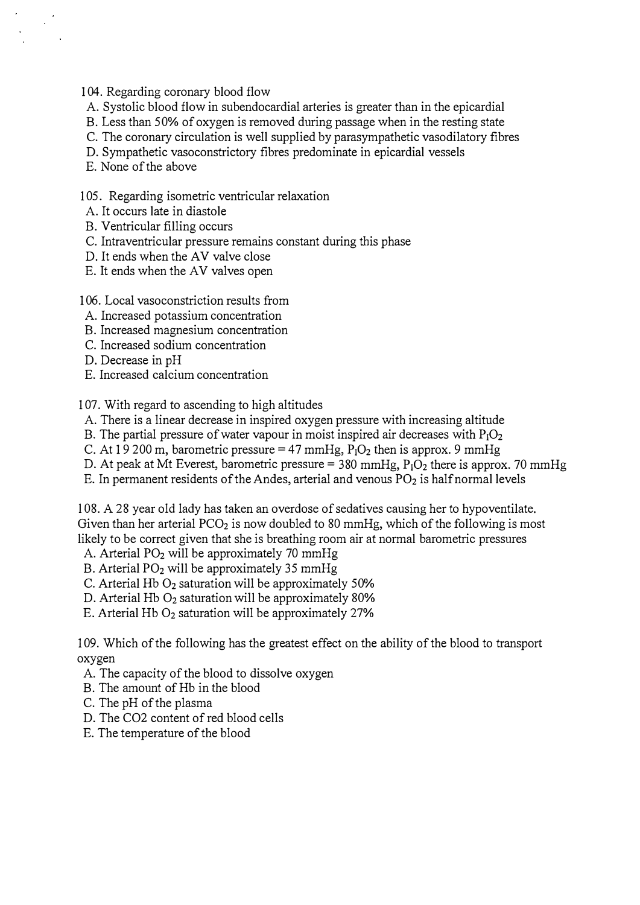104. Regarding coronary blood flow

- A. Systolic blood flow in subendocardial arteries is greater than in the epicardial
- B. Less than 50% of oxygen is removed during passage when in the resting state
- C. The coronary circulation is well supplied by parasympathetic vasodilatory fibres
- D. Sympathetic vasoconstrictory fibres predominate in epicardial vessels
- E. None of the above

 $\frac{1}{2}$  ,  $\frac{1}{2}$ 

- 105. Regarding isometric ventricular relaxation
- A. It occurs late in diastole
- B. Ventricular filling occurs
- C. Intraventricular pressure remains constant during this phase
- D. It ends when the AV valve close
- E. It ends when the AV valves open
- 106. Local vasoconstriction results from
- A. Increased potassium concentration
- B. Increased magnesium concentration
- C. Increased sodium concentration
- D. Decrease in pH
- E. Increased calcium concentration

107. With regard to ascending to high altitudes

- A. There is a linear decrease in inspired oxygen pressure with increasing altitude
- B. The partial pressure of water vapour in moist inspired air decreases with  $P_1O_2$
- C. At  $19200$  m, barometric pressure = 47 mmHg,  $P_1O_2$  then is approx. 9 mmHg
- D. At peak at Mt Everest, barometric pressure = 380 mmHg,  $P_1O_2$  there is approx. 70 mmHg
- E. In permanent residents of the Andes, arterial and venous  $PO<sub>2</sub>$  is half normal levels

lOS . A 2S year old lady has taken an overdose of sedatives causing her to hypoventilate. Given than her arterial  $PCO<sub>2</sub>$  is now doubled to 80 mmHg, which of the following is most likely to be correct given that she is breathing room air at normal barometric pressures

- A. Arterial P02 will be approximately 70 mmHg
- B. Arterial  $PO<sub>2</sub>$  will be approximately 35 mmHg
- C. Arterial Hb  $O<sub>2</sub>$  saturation will be approximately 50%
- D. Arterial Hb 02 saturation will be approximately 80%
- E. Arterial Hb  $O<sub>2</sub>$  saturation will be approximately 27%

109. Which of the following has the greatest effect on the ability of the blood to transport oxygen

- A. The capacity of the blood to dissolve oxygen
- B. The amount of Hb in the blood
- C. The pH of the plasma
- D. The C02 content of red blood cells
- E. The temperature of the blood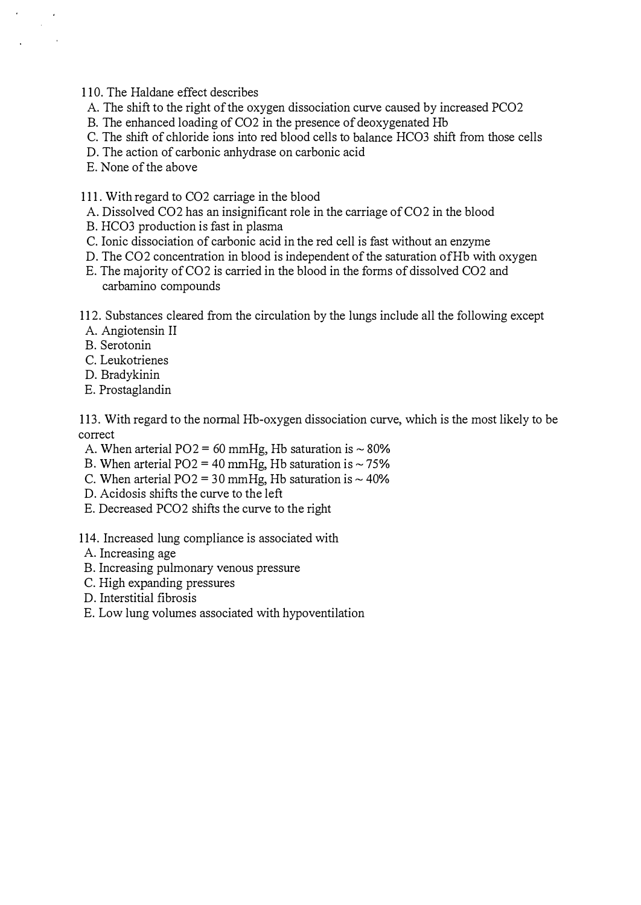110. The Haldane effect describes

- A. The shift to the right of the oxygen dissociation curve caused by increased PC02
- B. The enhanced loading of C02 in the presence of deoxygenated Hb
- C. The shift of chloride ions into red blood cells to balance HC03 shift from those cells
- D. The action of carbonic anhydrase on carbonic acid
- E. None of the above
- 111. With regard to C02 carriage in the blood
- A. Dissolved C02 has an insignificant role in the carriage of C02 in the blood
- B. HC03 production is fast in plasma
- C. Ionic dissociation of carbonic acid in the red cell is fast without an enzyme
- D. The C02 concentration in blood is independent of the saturation ofHb with oxygen
- E. The majority of CO2 is carried in the blood in the forms of dissolved CO2 and carbamino compounds
- 112. Substances cleared from the circulation by the lungs include all the following except
- A. Angiotensin II
- B. Serotonin
- C. Leukotrienes
- D. Bradykinin
- E. Prostaglandin

113. With regard to the normal Hb-oxygen dissociation curve, which is the most likely to be correct

- A. When arterial  $PO2 = 60$  mmHg, Hb saturation is  $\sim 80\%$
- B. When arterial  $PO2 = 40$  mmHg, Hb saturation is  $\sim 75\%$
- C. When arterial  $PO2 = 30$  mmHg, Hb saturation is  $\sim 40\%$
- D. Acidosis shifts the curve to the left
- E. Decreased PC02 shifts the curve to the right
- 114. Increased lung compliance is associated with
- A. Increasing age
- B. Increasing pulmonary venous pressure
- C. High expanding pressures
- D. Interstitial fibrosis
- E. Low lung volumes associated with hypoventilation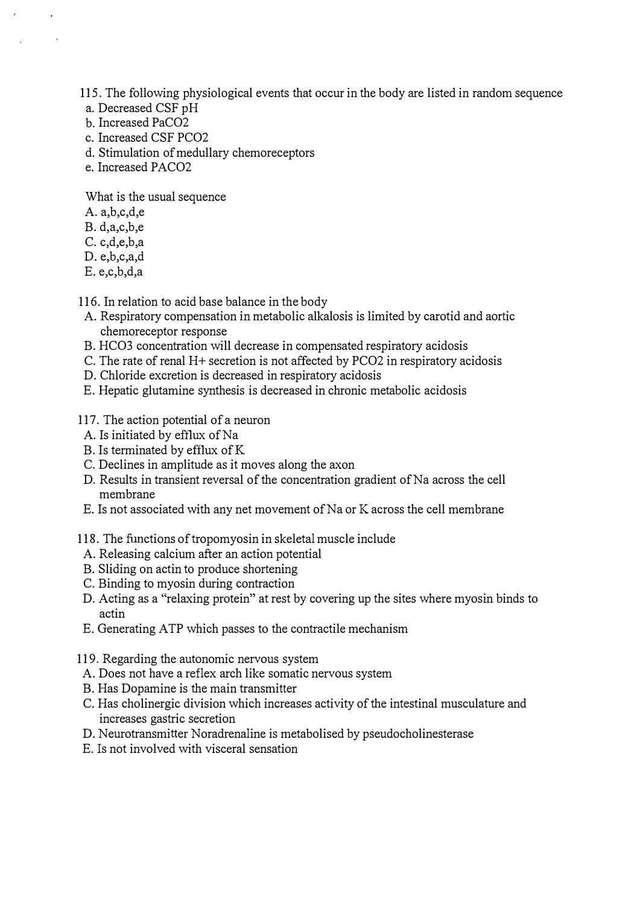115. The following physiological events that occur in the body are listed in random sequence

- a. Decreased CSF pH
- b. Increased PaC02
- c. Increased CSF PC02
- d. Stimulation of medullary chemoreceptors
- e. Increased PACO<sub>2</sub>

What is the usual sequence

- A. a,b,c,d,e
- B. d,a,c,b,e
- C. c,d,e,b,a
- D. e,b,c,a,d
- E. e,c,b,d,a

116. In relation to acid base balance in the body

- A. Respiratory compensation in metabolic alkalosis is limited by carotid and aortic chemoreceptor response
- B. HC03 concentration will decrease in compensated respiratory acidosis
- C. The rate of renal H+ secretion is not affected by PC02 in respiratory acidosis
- D. Chloride excretion is decreased in respiratory acidosis
- E. Hepatic glutamine synthesis is decreased in chronic metabolic acidosis

#### 117. The action potential of a neuron

- A. Is initiated by efflux of Na
- B. Is terminated by efflux ofK
- C. Declines in amplitude as it moves along the axon
- D. Results in transient reversal of the concentration gradient of Na across the cell membrane
- E. Is not associated with any net movement of Na or K across the cell membrane
- 118. The functions of tropomyosin in skeletal muscle include
	- A. Releasing calcium after an action potential
	- B. Sliding on actin to produce shortening
- C. Binding to myosin during contraction
- D. Acting as a "relaxing protein" at rest by covering up the sites where myosin binds to actin
- E. Generating A TP which passes to the contractile mechanism
- 119. Regarding the autonomic nervous system
- A. Does not have a reflex arch like somatic nervous system
- B. Has Dopamine is the main transmitter
- C. Has cholinergic division which increases activity of the intestinal musculature and increases gastric secretion
- D. Neurotransmitter Noradrenaline is metabolised by pseudocholinesterase
- E. Is not involved with visceral sensation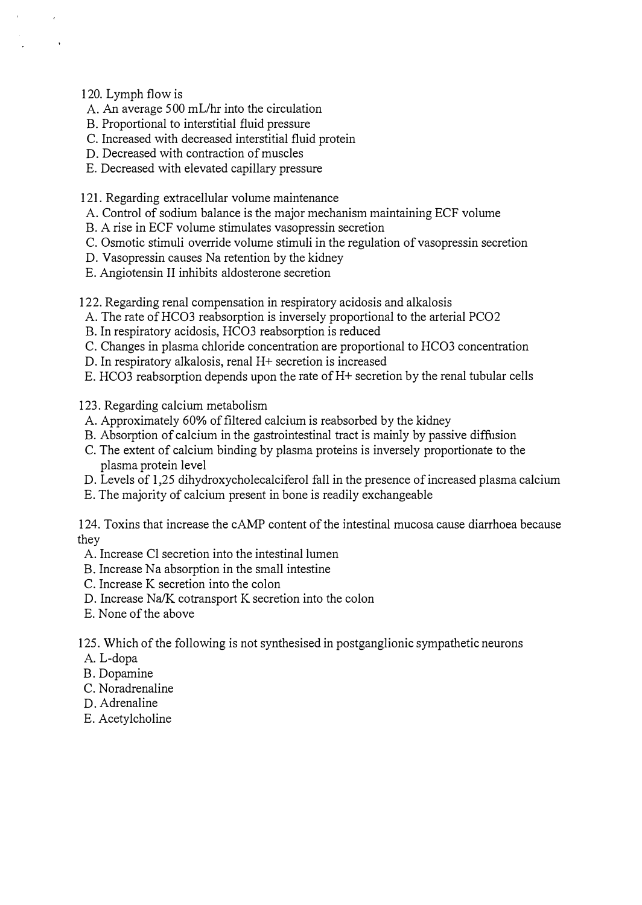120. Lymph flow is

- A. An average 500 mL/hr into the circulation
- B. Proportional to interstitial fluid pressure
- C. Increased with decreased interstitial fluid protein
- D. Decreased with contraction of muscles
- E. Decreased with elevated capillary pressure

121. Regarding extracellular volume maintenance

- A. Control of sodium balance is the major mechanism maintaining ECF volume
- B. A rise in ECF volume stimulates vasopressin secretion
- C. Osmotic stimuli override volume stimuli in the regulation of vasopressin secretion
- D. Vasopressin causes Na retention by the kidney
- E. Angiotensin II inhibits aldosterone secretion

122. Regarding renal compensation in respiratory acidosis and alkalosis

- A. The rate of HC03 reabsorption is inversely proportional to the arterial PC02
- B. In respiratory acidosis, HC03 reabsorption is reduced
- C. Changes in plasma chloride concentration are proportional to HC03 concentration
- D. In respiratory alkalosis, renal H+ secretion is increased
- E. HC03 reabsorption depends upon the rate of H+ secretion by the renal tubular cells

123. Regarding calcium metabolism

- A. Approximately 60% of filtered calcium is reabsorbed by the kidney
- B. Absorption of calcium in the gastrointestinal tract is mainly by passive diffusion
- C. The extent of calcium binding by plasma proteins is inversely proportionate to the plasma protein level
- D. Levels of 1,25 dihydroxycholecalciferol fall in the presence of increased plasma calcium
- E. The majority of calcium present in bone is readily exchangeable

124. Toxins that increase the cAMP content of the intestinal mucosa cause diarrhoea because they

- A. Increase Cl secretion into the intestinal lumen
- B. Increase Na absorption in the small intestine
- C. Increase K secretion into the colon
- D. Increase Na/K cotransport K secretion into the colon
- E. None of the above

125. Which of the following is not synthesised in postganglionic sympathetic neurons

- A. L-dopa
- B. Dopamine
- C. Noradrenaline
- D. Adrenaline
- E. Acetylcholine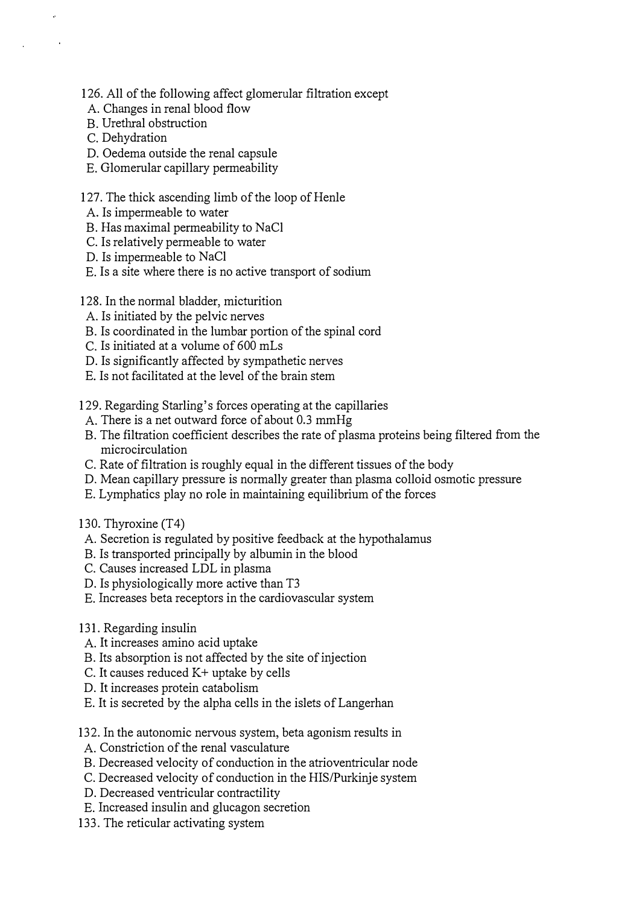- 126. All of the following affect glomerular filtration except
- A. Changes in renal blood flow
- B. Urethral obstruction
- C. Dehydration
- D. Oedema outside the renal capsule
- E. Glomerular capillary permeability

## 127. The thick ascending limb of the loop of Henle

- A. Is impermeable to water
- B. Has maximal permeability to NaCI
- C. Is relatively permeable to water
- D. Is impermeable to NaCI
- E. Is a site where there is no active transport of sodium
- 128. In the normal bladder, micturition
- A. Is initiated by the pelvic nerves
- B. Is coordinated in the lumbar portion of the spinal cord
- C. Is initiated at a volume of 600 mLs
- D. Is significantly affected by sympathetic nerves
- E. Is not facilitated at the level of the brain stem
- 129. Regarding Starling's forces operating at the capillaries
	- A. There is a net outward force of about 0.3 mmHg
	- B. The filtration coefficient describes the rate of plasma proteins being filtered from the microcirculation
	- C. Rate of filtration is roughly equal in the different tissues of the body
	- D. Mean capillary pressure is normally greater than plasma colloid osmotic pressure
	- E. Lymphatics play no role in maintaining equilibrium of the forces
- 130. Thyroxine (T4)
- A. Secretion is regulated by positive feedback at the hypothalamus
- B. Is transported principally by albumin in the blood
- C. Causes increased LDL in plasma
- D. Is physiologically more active than T3
- E. Increases beta receptors in the cardiovascular system
- 131. Regarding insulin
- A. It increases amino acid uptake
- B. Its absorption is not affected by the site of injection
- C. It causes reduced  $K$ + uptake by cells
- D. It increases protein catabolism
- E. It is secreted by the alpha cells in the islets of Langerhan

132. In the autonomic nervous system, beta agonism results in

- A. Constriction of the renal vasculature
- B. Decreased velocity of conduction in the atrioventricular node
- C. Decreased velocity of conduction in the HIS/Purkinje system
- D. Decreased ventricular contractility
- E. Increased insulin and glucagon secretion
- 133. The reticular activating system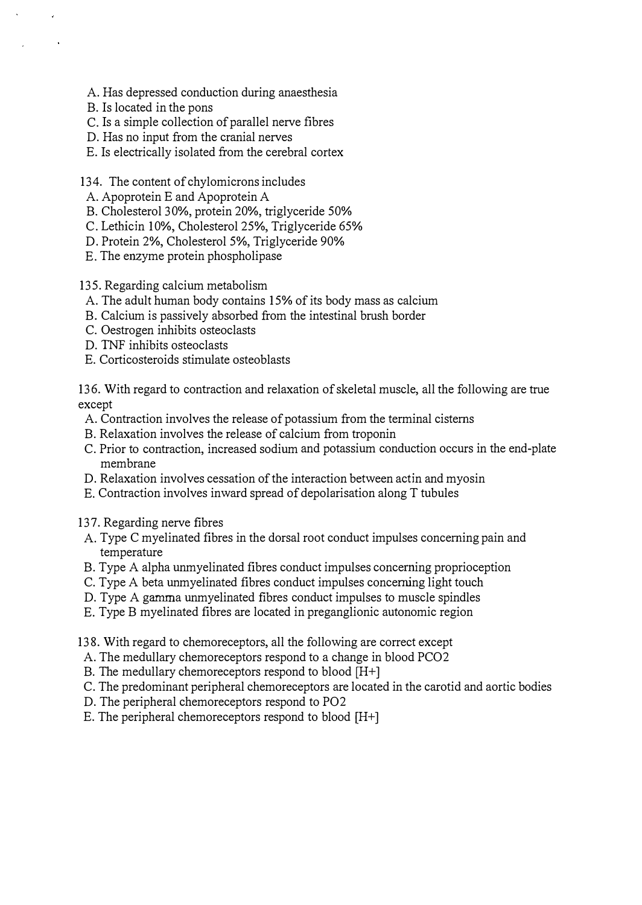- A. Has depressed conduction during anaesthesia
- B. Is located in the pons
- C. Is a simple collection of parallel nerve fibres
- D. Has no input from the cranial nerves
- E. Is electrically isolated from the cerebral cortex
- 134. The content of chylomicrons includes
- A. Apoprotein E and Apoprotein A
- B. Cholesterol 30%, protein 20%, triglyceride 50%
- C. Lethicin 10%, Cholesterol 25%, Triglyceride 65%
- D. Protein 2%, Cholesterol 5%, Triglyceride 90%
- E. The enzyme protein phospholipase

135. Regarding calcium metabolism

- A. The adult human body contains 15% of its body mass as calcium
- B. Calcium is passively absorbed from the intestinal brush border
- C. Oestrogen inhibits osteoclasts
- D. TNF inhibits osteoclasts
- E. Corticosteroids stimulate osteoblasts

136. With regard to contraction and relaxation of skeletal muscle, all the following are true except

- A. Contraction involves the release of potassium from the terminal cisterns
- B. Relaxation involves the release of calcium from troponin
- C. Prior to contraction, increased sodium and potassium conduction occurs in the end-plate membrane
- D. Relaxation involves cessation of the interaction between actin and myosin
- E. Contraction involves inward spread of depolarisation along T tubules
- 137. Regarding nerve fibres
- A. Type C myelinated fibres in the dorsal root conduct impulses concerning pain and temperature
- B. Type A alpha unmyelinated fibres conduct impulses concerning proprioception
- C. Type A beta unmyelinated fibres conduct impulses concerning light touch
- D. Type A gamma unmyelinated fibres conduct impulses to muscle spindles
- E. Type B myelinated fibres are located in preganglionic autonomic region
- 138. With regard to chemoreceptors, all the following are correct except
- A. The medullary chemoreceptors respond to a change in blood PC02
- B. The medullary chemoreceptors respond to blood [H+]
- C. The predominant peripheral chemoreceptors are located in the carotid and aortic bodies
- D. The peripheral chemoreceptors respond to P02
- E. The peripheral chemoreceptors respond to blood [H+]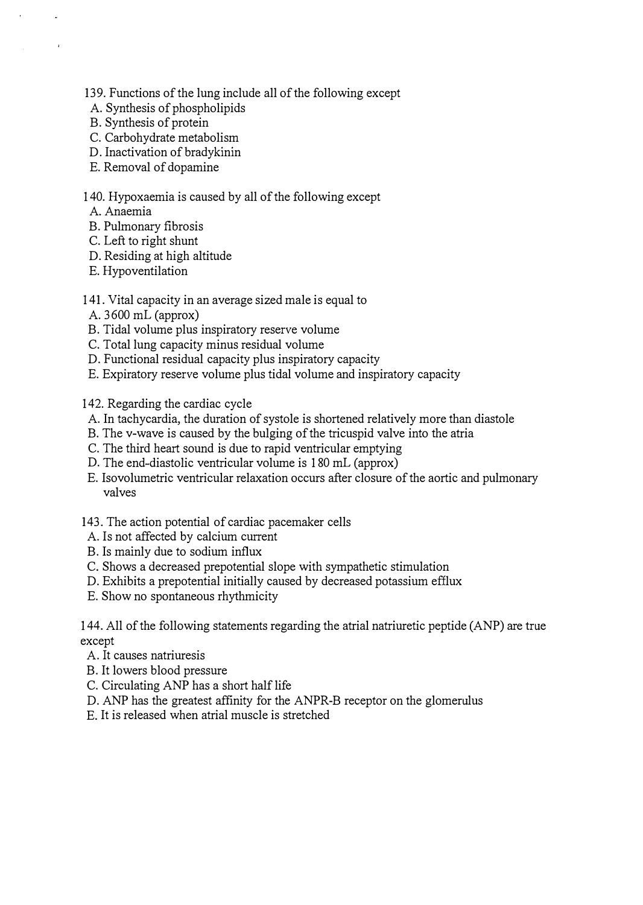139. Functions of the lung include all of the following except

- A. Synthesis of phospholipids
- B. Synthesis of protein
- C. Carbohydrate metabolism
- D. Inactivation of bradykinin
- E. Removal of dopamine

## 140. Hypoxaemia is caused by all of the following except

- A. Anaemia
- B. Pulmonary fibrosis
- C. Left to right shunt
- D. Residing at high altitude
- E. Hypoventilation

## 141. Vital capacity in an average sized male is equal to

- A. 3600 mL (approx)
- B. Tidal volume plus inspiratory reserve volume
- C. Total lung capacity minus residual volume
- D. Functional residual capacity plus inspiratory capacity
- E. Expiratory reserve volume plus tidal volume and inspiratory capacity

142. Regarding the cardiac cycle

- A. In tachycardia, the duration of systole is shortened relatively more than diastole
- B. The v-wave is caused by the bulging of the tricuspid valve into the atria
- C. The third heart sound is due to rapid ventricular emptying
- D. The end-diastolic ventricular volume is 180 mL (approx)
- E. Isovolumetric ventricular relaxation occurs after closure of the aortic and pulmonary valves
- 143. The action potential of cardiac pacemaker cells
- A. Is not affected by calcium current
- B. Is mainly due to sodium influx
- C. Shows a decreased prepotential slope with sympathetic stimulation
- D. Exhibits a prepotential initially caused by decreased potassium efflux
- E. Show no spontaneous rhythmicity

144. All of the following statements regarding the atrial natriuretic peptide (ANP) are true except

- A. It causes natriuresis
- B. It lowers blood pressure
- C. Circulating ANP has a short half life
- D. ANP has the greatest affinity for the ANPR-B receptor on the glomerulus
- E. It is released when atrial muscle is stretched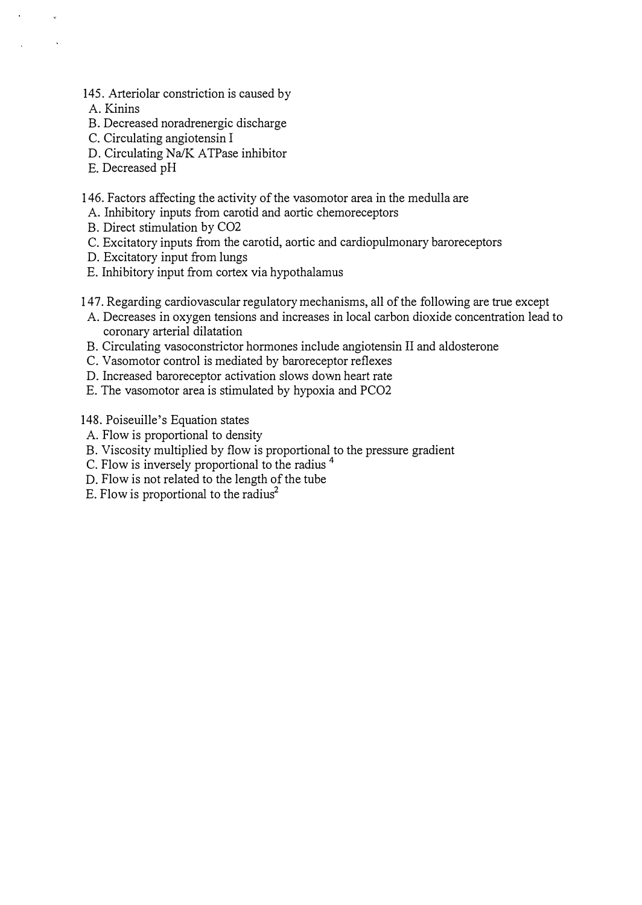- 145. Arteriolar constriction is caused by
- A. Kinins
- B. Decreased noradrenergic discharge
- C. Circulating angiotensin I
- D. Circulating Na/K ATPase inhibitor
- E. Decreased pH
- 146. Factors affecting the activity of the vasomotor area in the medulla are
- A. Inhibitory inputs from carotid and aortic chemoreceptors
- B. Direct stimulation by C02
- C. Excitatory inputs from the carotid, aortic and cardiopulmonary baroreceptors
- D. Excitatory input from lungs
- E. Inhibitory input from cortex via hypothalamus
- 147. Regarding cardiovascular regulatory mechanisms, all of the following are true except
- A. Decreases in oxygen tensions and increases in local carbon dioxide concentration lead to coronary arterial dilatation
- B. Circulating vasoconstrictor hormones include angiotensin II and aldosterone
- C. Vasomotor control is mediated by baroreceptor reflexes
- D. Increased baroreceptor activation slows down heart rate
- E. The vasomotor area is stimulated by hypoxia and PC02

148. Poiseuille's Equation states

- A. Flow is proportional to density
- B. Viscosity multiplied by flow is proportional to the pressure gradient
- C. Flow is inversely proportional to the radius <sup>4</sup>
- D. Flow is not related to the length of the tube
- E. Flow is proportional to the radius<sup>2</sup>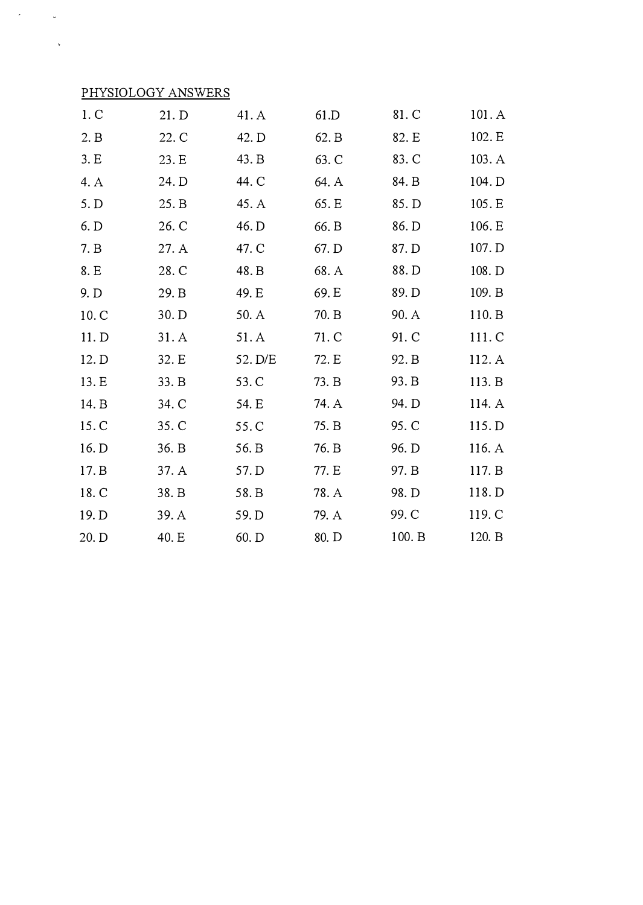## PHYSIOLOGY ANSWERS

 $\mathcal{L}_{\text{max}}$ 

 $\sim$ 

 $\mathcal{L}^{\text{max}}_{\text{max}}$  and  $\mathcal{L}^{\text{max}}_{\text{max}}$ 

| 1. C  | 21. D | 41. A   | 61.D  | 81. C  | 101.A  |
|-------|-------|---------|-------|--------|--------|
| 2. B  | 22. C | 42. D   | 62. B | 82. E  | 102. E |
| 3.E   | 23. E | 43. B   | 63. C | 83. C  | 103. A |
| 4. A  | 24. D | 44. C   | 64. A | 84. B  | 104. D |
| 5. D  | 25. B | 45. A   | 65. E | 85. D  | 105. E |
| 6. D  | 26. C | 46. D   | 66. B | 86. D  | 106. E |
| 7. B  | 27.A  | 47. C   | 67. D | 87. D  | 107. D |
| 8. E  | 28. C | 48. B   | 68. A | 88. D  | 108. D |
| 9. D  | 29. B | 49. E   | 69. E | 89. D  | 109. B |
| 10. C | 30. D | 50. A   | 70. B | 90. A  | 110. B |
| 11. D | 31.A  | 51. A   | 71. C | 91. C  | 111. C |
| 12. D | 32. E | 52. D/E | 72. E | 92. B  | 112. A |
| 13. E | 33. B | 53. C   | 73. B | 93. B  | 113. B |
| 14. B | 34. C | 54. E   | 74. A | 94. D  | 114. A |
| 15. C | 35. C | 55.C    | 75. B | 95. C  | 115.D  |
| 16. D | 36. B | 56. B   | 76. B | 96. D  | 116. A |
| 17. B | 37. A | 57. D   | 77. E | 97. B  | 117. B |
| 18. C | 38. B | 58. B   | 78. A | 98. D  | 118. D |
| 19. D | 39. A | 59. D   | 79. A | 99. C  | 119. C |
| 20. D | 40. E | 60. D   | 80. D | 100. B | 120. B |